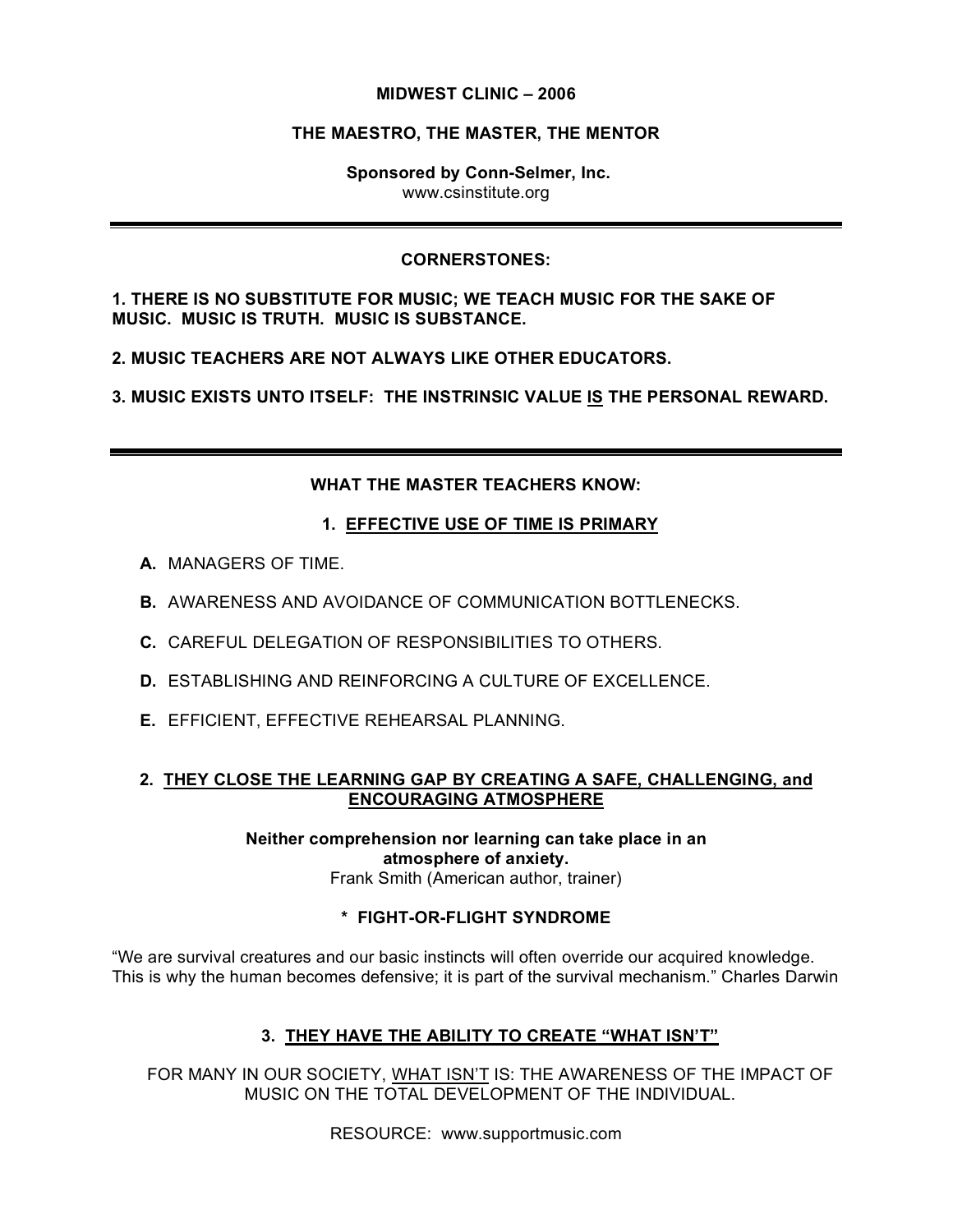## **MIDWEST CLINIC – 2006**

## **THE MAESTRO, THE MASTER, THE MENTOR**

**Sponsored by Conn-Selmer, Inc.** www.csinstitute.org

## **CORNERSTONES:**

**1. THERE IS NO SUBSTITUTE FOR MUSIC; WE TEACH MUSIC FOR THE SAKE OF MUSIC. MUSIC IS TRUTH. MUSIC IS SUBSTANCE.**

**2. MUSIC TEACHERS ARE NOT ALWAYS LIKE OTHER EDUCATORS.**

**3. MUSIC EXISTS UNTO ITSELF: THE INSTRINSIC VALUE IS THE PERSONAL REWARD.**

## **WHAT THE MASTER TEACHERS KNOW:**

## **1. EFFECTIVE USE OF TIME IS PRIMARY**

- **A.** MANAGERS OF TIME.
- **B.** AWARENESS AND AVOIDANCE OF COMMUNICATION BOTTLENECKS.
- **C.** CAREFUL DELEGATION OF RESPONSIBILITIES TO OTHERS.
- **D.** ESTABLISHING AND REINFORCING A CULTURE OF EXCELLENCE.
- **E.** EFFICIENT, EFFECTIVE REHEARSAL PLANNING.

## **2. THEY CLOSE THE LEARNING GAP BY CREATING A SAFE, CHALLENGING, and ENCOURAGING ATMOSPHERE**

**Neither comprehension nor learning can take place in an atmosphere of anxiety.** Frank Smith (American author, trainer)

#### **\* FIGHT-OR-FLIGHT SYNDROME**

"We are survival creatures and our basic instincts will often override our acquired knowledge. This is why the human becomes defensive; it is part of the survival mechanism." Charles Darwin

## **3. THEY HAVE THE ABILITY TO CREATE "WHAT ISN'T"**

FOR MANY IN OUR SOCIETY, WHAT ISN'T IS: THE AWARENESS OF THE IMPACT OF MUSIC ON THE TOTAL DEVELOPMENT OF THE INDIVIDUAL.

RESOURCE: www.supportmusic.com